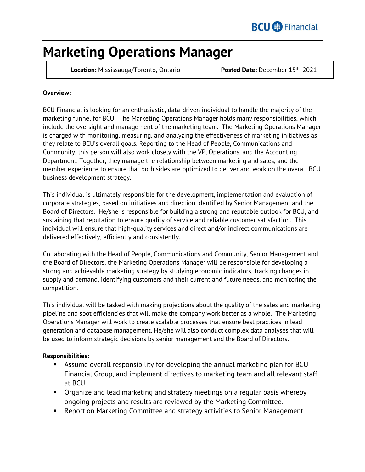# **Marketing Operations Manager**

**Location:** Mississauga/Toronto, Ontario **Posted Date:** December 15<sup>th</sup>, 2021

### **Overview:**

BCU Financial is looking for an enthusiastic, data-driven individual to handle the majority of the marketing funnel for BCU. The Marketing Operations Manager holds many responsibilities, which include the oversight and management of the marketing team. The Marketing Operations Manager is charged with monitoring, measuring, and analyzing the effectiveness of marketing initiatives as they relate to BCU's overall goals. Reporting to the Head of People, Communications and Community, this person will also work closely with the VP, Operations, and the Accounting Department. Together, they manage the relationship between marketing and sales, and the member experience to ensure that both sides are optimized to deliver and work on the overall BCU business development strategy.

This individual is ultimately responsible for the development, implementation and evaluation of corporate strategies, based on initiatives and direction identified by Senior Management and the Board of Directors. He/she is responsible for building a strong and reputable outlook for BCU, and sustaining that reputation to ensure quality of service and reliable customer satisfaction. This individual will ensure that high-quality services and direct and/or indirect communications are delivered effectively, efficiently and consistently.

Collaborating with the Head of People, Communications and Community, Senior Management and the Board of Directors, the Marketing Operations Manager will be responsible for developing a strong and achievable marketing strategy by studying economic indicators, tracking changes in supply and demand, identifying customers and their current and future needs, and monitoring the competition.

This individual will be tasked with making projections about the quality of the sales and marketing pipeline and spot efficiencies that will make the company work better as a whole. The Marketing Operations Manager will work to create scalable processes that ensure best practices in lead generation and database management. He/she will also conduct complex data analyses that will be used to inform strategic decisions by senior management and the Board of Directors.

#### **Responsibilities:**

- Assume overall responsibility for developing the annual marketing plan for BCU Financial Group, and implement directives to marketing team and all relevant staff at BCU.
- Organize and lead marketing and strategy meetings on a regular basis whereby ongoing projects and results are reviewed by the Marketing Committee.
- Report on Marketing Committee and strategy activities to Senior Management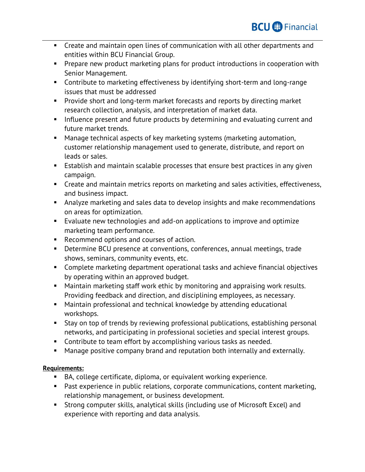- Create and maintain open lines of communication with all other departments and entities within BCU Financial Group.
- **Prepare new product marketing plans for product introductions in cooperation with** Senior Management.
- Contribute to marketing effectiveness by identifying short-term and long-range issues that must be addressed
- **Provide short and long-term market forecasts and reports by directing market** research collection, analysis, and interpretation of market data.
- Influence present and future products by determining and evaluating current and future market trends.
- Manage technical aspects of key marketing systems (marketing automation, customer relationship management used to generate, distribute, and report on leads or sales.
- **Establish and maintain scalable processes that ensure best practices in any given** campaign.
- **EXP** Create and maintain metrics reports on marketing and sales activities, effectiveness, and business impact.
- Analyze marketing and sales data to develop insights and make recommendations on areas for optimization.
- Evaluate new technologies and add-on applications to improve and optimize marketing team performance.
- Recommend options and courses of action.
- Determine BCU presence at conventions, conferences, annual meetings, trade shows, seminars, community events, etc.
- Complete marketing department operational tasks and achieve financial objectives by operating within an approved budget.
- Maintain marketing staff work ethic by monitoring and appraising work results. Providing feedback and direction, and disciplining employees, as necessary.
- Maintain professional and technical knowledge by attending educational workshops.
- Stay on top of trends by reviewing professional publications, establishing personal networks, and participating in professional societies and special interest groups.
- **Contribute to team effort by accomplishing various tasks as needed.**
- **Manage positive company brand and reputation both internally and externally.**

## **Requirements:**

- BA, college certificate, diploma, or equivalent working experience.
- Past experience in public relations, corporate communications, content marketing, relationship management, or business development.
- Strong computer skills, analytical skills (including use of Microsoft Excel) and experience with reporting and data analysis.